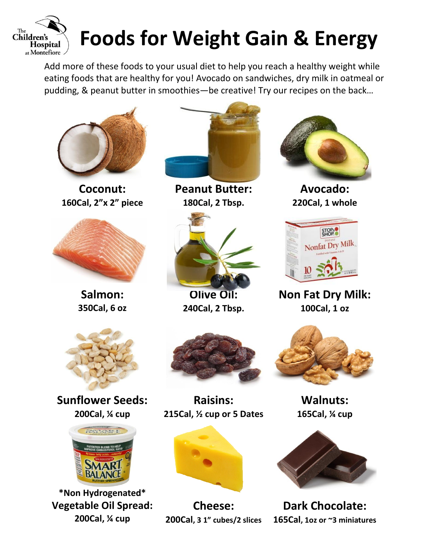

## **Foods for Weight Gain & Energy**

Add more of these foods to your usual diet to help you reach a healthy weight while eating foods that are healthy for you! Avocado on sandwiches, dry milk in oatmeal or pudding, & peanut butter in smoothies—be creative! Try our recipes on the back…



**Coconut: 160Cal, 2"x 2" piece**



**Salmon: 350Cal, 6 oz**



**Peanut Butter: 180Cal, 2 Tbsp.**



**Olive Oil: 240Cal, 2 Tbsp.**



**Avocado: 220Cal, 1 whole**



**Non Fat Dry Milk: 100Cal, 1 oz**



**Sunflower Seeds: 200Cal, ¼ cup**



**\*Non Hydrogenated\* Vegetable Oil Spread: 200Cal, ¼ cup**



**Raisins: 215Cal, ½ cup or 5 Dates**



**Cheese: 200Cal, 3 1" cubes/2 slices**



**Walnuts: 165Cal, ¼ cup**



**Dark Chocolate: 165Cal, 1oz or ~3 miniatures**